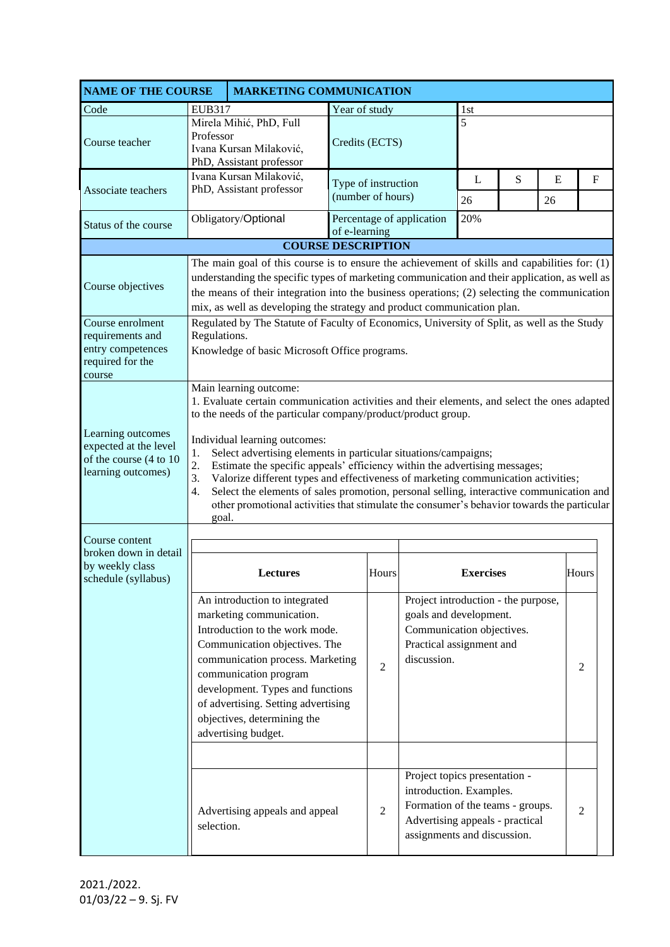| <b>NAME OF THE COURSE</b>                                                                  | <b>MARKETING COMMUNICATION</b>                                                                                                                                                                                                                                                                                                                                                                                                                                                                                                                                                                                                                                                                         |                                                                                                                                                                                                                                                                                                                            |                                                                                                                                                         |                |                                                                                                                                                                |     |         |   |              |  |
|--------------------------------------------------------------------------------------------|--------------------------------------------------------------------------------------------------------------------------------------------------------------------------------------------------------------------------------------------------------------------------------------------------------------------------------------------------------------------------------------------------------------------------------------------------------------------------------------------------------------------------------------------------------------------------------------------------------------------------------------------------------------------------------------------------------|----------------------------------------------------------------------------------------------------------------------------------------------------------------------------------------------------------------------------------------------------------------------------------------------------------------------------|---------------------------------------------------------------------------------------------------------------------------------------------------------|----------------|----------------------------------------------------------------------------------------------------------------------------------------------------------------|-----|---------|---|--------------|--|
| Code                                                                                       | <b>EUB317</b>                                                                                                                                                                                                                                                                                                                                                                                                                                                                                                                                                                                                                                                                                          |                                                                                                                                                                                                                                                                                                                            |                                                                                                                                                         | Year of study  |                                                                                                                                                                |     | 1st     |   |              |  |
| Course teacher                                                                             | Mirela Mihić, PhD, Full<br>Professor<br>Ivana Kursan Milaković,<br>PhD, Assistant professor                                                                                                                                                                                                                                                                                                                                                                                                                                                                                                                                                                                                            |                                                                                                                                                                                                                                                                                                                            | Credits (ECTS)                                                                                                                                          |                |                                                                                                                                                                | 5   |         |   |              |  |
| Associate teachers                                                                         | Ivana Kursan Milaković,<br>PhD, Assistant professor                                                                                                                                                                                                                                                                                                                                                                                                                                                                                                                                                                                                                                                    |                                                                                                                                                                                                                                                                                                                            | Type of instruction<br>(number of hours)                                                                                                                |                | L<br>26                                                                                                                                                        | S   | E<br>26 |   | $\mathbf{F}$ |  |
| Status of the course                                                                       |                                                                                                                                                                                                                                                                                                                                                                                                                                                                                                                                                                                                                                                                                                        | Obligatory/Optional                                                                                                                                                                                                                                                                                                        | of e-learning                                                                                                                                           |                | Percentage of application                                                                                                                                      | 20% |         |   |              |  |
|                                                                                            | <b>COURSE DESCRIPTION</b>                                                                                                                                                                                                                                                                                                                                                                                                                                                                                                                                                                                                                                                                              |                                                                                                                                                                                                                                                                                                                            |                                                                                                                                                         |                |                                                                                                                                                                |     |         |   |              |  |
| Course objectives                                                                          | The main goal of this course is to ensure the achievement of skills and capabilities for: $(1)$<br>understanding the specific types of marketing communication and their application, as well as<br>the means of their integration into the business operations; (2) selecting the communication<br>mix, as well as developing the strategy and product communication plan.                                                                                                                                                                                                                                                                                                                            |                                                                                                                                                                                                                                                                                                                            |                                                                                                                                                         |                |                                                                                                                                                                |     |         |   |              |  |
| Course enrolment<br>requirements and<br>entry competences<br>required for the<br>course    | Regulated by The Statute of Faculty of Economics, University of Split, as well as the Study<br>Regulations.<br>Knowledge of basic Microsoft Office programs.                                                                                                                                                                                                                                                                                                                                                                                                                                                                                                                                           |                                                                                                                                                                                                                                                                                                                            |                                                                                                                                                         |                |                                                                                                                                                                |     |         |   |              |  |
| Learning outcomes<br>expected at the level<br>of the course (4 to 10<br>learning outcomes) | Main learning outcome:<br>1. Evaluate certain communication activities and their elements, and select the ones adapted<br>to the needs of the particular company/product/product group.<br>Individual learning outcomes:<br>Select advertising elements in particular situations/campaigns;<br>1.<br>2.<br>Estimate the specific appeals' efficiency within the advertising messages;<br>3.<br>Valorize different types and effectiveness of marketing communication activities;<br>Select the elements of sales promotion, personal selling, interactive communication and<br>$\overline{4}$ .<br>other promotional activities that stimulate the consumer's behavior towards the particular<br>goal. |                                                                                                                                                                                                                                                                                                                            |                                                                                                                                                         |                |                                                                                                                                                                |     |         |   |              |  |
| Course content<br>broken down in detail<br>by weekly class<br>schedule (syllabus)          | <b>Lectures</b><br>Hours<br><b>Exercises</b>                                                                                                                                                                                                                                                                                                                                                                                                                                                                                                                                                                                                                                                           |                                                                                                                                                                                                                                                                                                                            |                                                                                                                                                         |                |                                                                                                                                                                |     | Hours   |   |              |  |
|                                                                                            |                                                                                                                                                                                                                                                                                                                                                                                                                                                                                                                                                                                                                                                                                                        | An introduction to integrated<br>marketing communication.<br>Introduction to the work mode.<br>Communication objectives. The<br>communication process. Marketing<br>communication program<br>development. Types and functions<br>of advertising. Setting advertising<br>objectives, determining the<br>advertising budget. | Project introduction - the purpose,<br>goals and development.<br>Communication objectives.<br>Practical assignment and<br>discussion.<br>$\overline{2}$ |                |                                                                                                                                                                |     |         | 2 |              |  |
|                                                                                            | selection.                                                                                                                                                                                                                                                                                                                                                                                                                                                                                                                                                                                                                                                                                             | Advertising appeals and appeal                                                                                                                                                                                                                                                                                             |                                                                                                                                                         | $\overline{2}$ | Project topics presentation -<br>introduction. Examples.<br>Formation of the teams - groups.<br>Advertising appeals - practical<br>assignments and discussion. |     |         |   | 2            |  |

2021./2022.  $01/03/22 - 9.$  Sj. FV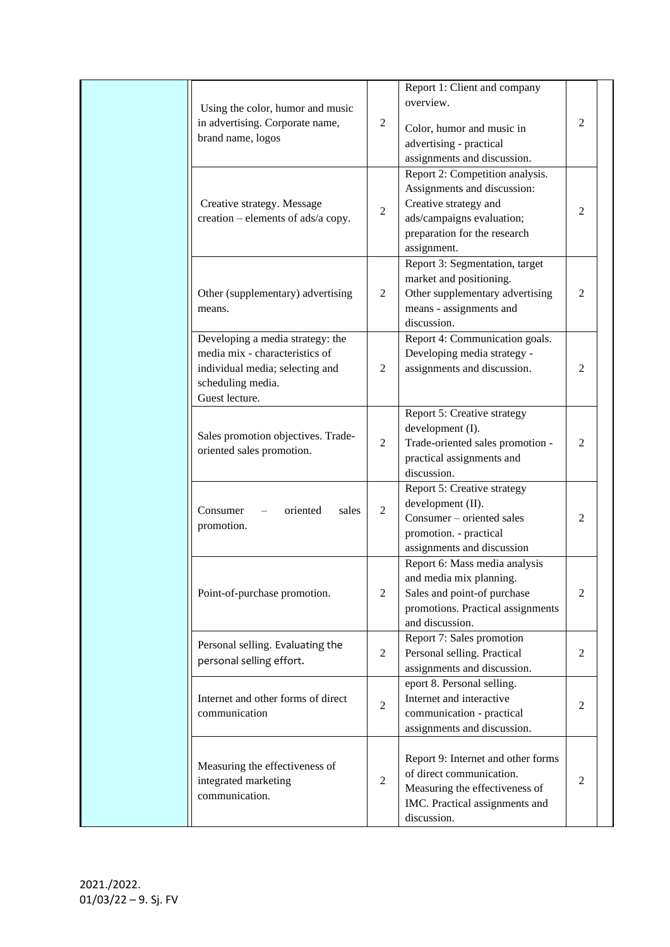|  | Using the color, humor and music<br>in advertising. Corporate name,<br>brand name, logos                                                     |                                                                                                                | Report 1: Client and company<br>overview.<br>Color, humor and music in<br>advertising - practical                                                          | $\overline{c}$ |  |
|--|----------------------------------------------------------------------------------------------------------------------------------------------|----------------------------------------------------------------------------------------------------------------|------------------------------------------------------------------------------------------------------------------------------------------------------------|----------------|--|
|  | Creative strategy and<br>Creative strategy. Message<br>$\sqrt{2}$<br>creation – elements of ads/a copy.                                      |                                                                                                                | assignments and discussion.<br>Report 2: Competition analysis.<br>Assignments and discussion:<br>ads/campaigns evaluation;<br>preparation for the research | $\overline{c}$ |  |
|  | Other (supplementary) advertising<br>means.                                                                                                  | $\overline{2}$                                                                                                 | assignment.<br>Report 3: Segmentation, target<br>market and positioning.<br>Other supplementary advertising<br>means - assignments and<br>discussion.      | 2              |  |
|  | Developing a media strategy: the<br>media mix - characteristics of<br>individual media; selecting and<br>scheduling media.<br>Guest lecture. | Report 4: Communication goals.<br>Developing media strategy -<br>assignments and discussion.<br>$\overline{2}$ |                                                                                                                                                            | $\overline{2}$ |  |
|  | Sales promotion objectives. Trade-<br>oriented sales promotion.                                                                              | $\overline{2}$                                                                                                 | Report 5: Creative strategy<br>development (I).<br>Trade-oriented sales promotion -<br>practical assignments and<br>discussion.                            |                |  |
|  | Consumer<br>oriented<br>sales<br>promotion.                                                                                                  | $\overline{2}$                                                                                                 | Report 5: Creative strategy<br>development (II).<br>Consumer – oriented sales<br>promotion. - practical<br>assignments and discussion                      | $\mathfrak{2}$ |  |
|  | Point-of-purchase promotion.                                                                                                                 | $\overline{2}$                                                                                                 | Report 6: Mass media analysis<br>and media mix planning.<br>Sales and point-of purchase<br>promotions. Practical assignments<br>and discussion.            | $\overline{2}$ |  |
|  | Personal selling. Evaluating the<br>personal selling effort.                                                                                 | $\overline{2}$                                                                                                 | Report 7: Sales promotion<br>Personal selling. Practical<br>assignments and discussion.                                                                    |                |  |
|  | Internet and other forms of direct<br>communication                                                                                          | $\overline{2}$                                                                                                 | eport 8. Personal selling.<br>Internet and interactive<br>communication - practical<br>assignments and discussion.                                         |                |  |
|  | Measuring the effectiveness of<br>integrated marketing<br>communication.                                                                     | $\sqrt{2}$                                                                                                     | Report 9: Internet and other forms<br>of direct communication.<br>Measuring the effectiveness of<br>IMC. Practical assignments and<br>discussion.          |                |  |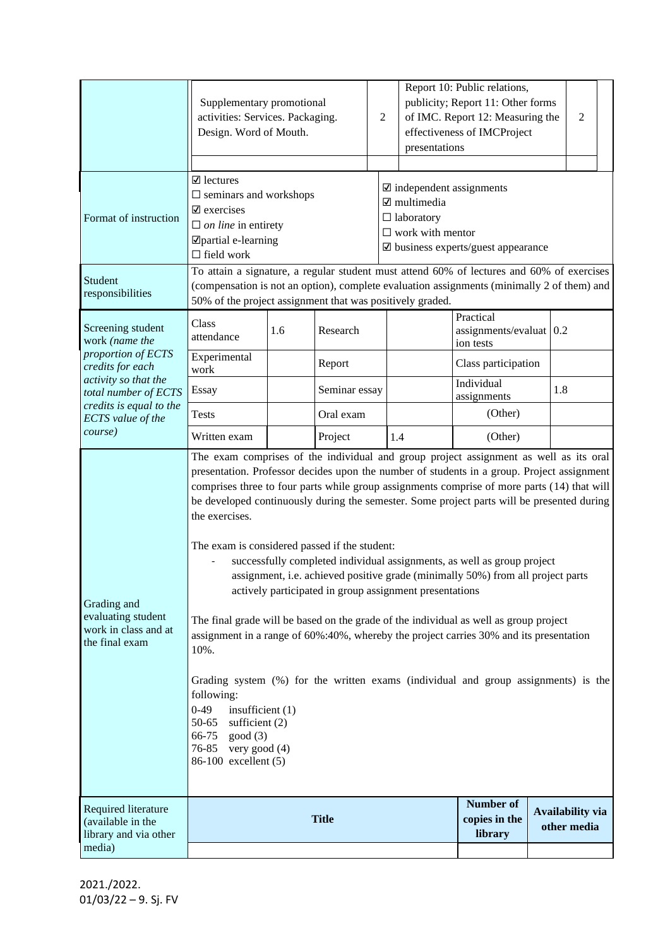|                                                                             | Supplementary promotional<br>activities: Services. Packaging.<br>Design. Word of Mouth.                                                                                                                                                                                                                                                                                                                                                                                                                                                                                                                                                                                                                                                                                                                                                                                                                                                                                                                                                                                                                        |     | $\mathfrak{2}$ |  | Report 10: Public relations,<br>publicity; Report 11: Other forms<br>of IMC. Report 12: Measuring the<br>effectiveness of IMCProject<br>presentations                               |                     | 2                                                   |  |                                        |  |
|-----------------------------------------------------------------------------|----------------------------------------------------------------------------------------------------------------------------------------------------------------------------------------------------------------------------------------------------------------------------------------------------------------------------------------------------------------------------------------------------------------------------------------------------------------------------------------------------------------------------------------------------------------------------------------------------------------------------------------------------------------------------------------------------------------------------------------------------------------------------------------------------------------------------------------------------------------------------------------------------------------------------------------------------------------------------------------------------------------------------------------------------------------------------------------------------------------|-----|----------------|--|-------------------------------------------------------------------------------------------------------------------------------------------------------------------------------------|---------------------|-----------------------------------------------------|--|----------------------------------------|--|
| Format of instruction                                                       | $\boxtimes$ lectures<br>$\square$ seminars and workshops<br>$\mathbf{\nabla}$ exercises<br>$\Box$ on line in entirety<br>□ partial e-learning<br>$\Box$ field work                                                                                                                                                                                                                                                                                                                                                                                                                                                                                                                                                                                                                                                                                                                                                                                                                                                                                                                                             |     |                |  | $\mathbf{\nabla}$ independent assignments<br>$\mathbf{\nabla}$ multimedia<br>$\Box$ laboratory<br>$\square$ work with mentor<br>$\mathbf{\nabla}$ business experts/guest appearance |                     |                                                     |  |                                        |  |
| Student<br>responsibilities                                                 | To attain a signature, a regular student must attend 60% of lectures and 60% of exercises<br>(compensation is not an option), complete evaluation assignments (minimally 2 of them) and<br>50% of the project assignment that was positively graded.                                                                                                                                                                                                                                                                                                                                                                                                                                                                                                                                                                                                                                                                                                                                                                                                                                                           |     |                |  |                                                                                                                                                                                     |                     |                                                     |  |                                        |  |
| Screening student<br>work (name the                                         | Class<br>attendance                                                                                                                                                                                                                                                                                                                                                                                                                                                                                                                                                                                                                                                                                                                                                                                                                                                                                                                                                                                                                                                                                            | 1.6 | Research       |  |                                                                                                                                                                                     |                     | Practical<br>$assignments/evaluat$ 0.2<br>ion tests |  |                                        |  |
| proportion of ECTS<br>credits for each                                      | Experimental<br>work                                                                                                                                                                                                                                                                                                                                                                                                                                                                                                                                                                                                                                                                                                                                                                                                                                                                                                                                                                                                                                                                                           |     | Report         |  |                                                                                                                                                                                     | Class participation |                                                     |  |                                        |  |
| activity so that the<br>total number of ECTS                                | Essay                                                                                                                                                                                                                                                                                                                                                                                                                                                                                                                                                                                                                                                                                                                                                                                                                                                                                                                                                                                                                                                                                                          |     | Seminar essay  |  |                                                                                                                                                                                     |                     | Individual<br>assignments                           |  | 1.8                                    |  |
| credits is equal to the<br>ECTS value of the                                | <b>Tests</b>                                                                                                                                                                                                                                                                                                                                                                                                                                                                                                                                                                                                                                                                                                                                                                                                                                                                                                                                                                                                                                                                                                   |     | Oral exam      |  |                                                                                                                                                                                     |                     | (Other)                                             |  |                                        |  |
| course)                                                                     | Written exam                                                                                                                                                                                                                                                                                                                                                                                                                                                                                                                                                                                                                                                                                                                                                                                                                                                                                                                                                                                                                                                                                                   |     | Project        |  | 1.4                                                                                                                                                                                 |                     | (Other)                                             |  |                                        |  |
| Grading and<br>evaluating student<br>work in class and at<br>the final exam | The exam comprises of the individual and group project assignment as well as its oral<br>presentation. Professor decides upon the number of students in a group. Project assignment<br>comprises three to four parts while group assignments comprise of more parts (14) that will<br>be developed continuously during the semester. Some project parts will be presented during<br>the exercises.<br>The exam is considered passed if the student:<br>successfully completed individual assignments, as well as group project<br>assignment, i.e. achieved positive grade (minimally 50%) from all project parts<br>actively participated in group assignment presentations<br>The final grade will be based on the grade of the individual as well as group project<br>assignment in a range of 60%:40%, whereby the project carries 30% and its presentation<br>10%.<br>Grading system (%) for the written exams (individual and group assignments) is the<br>following:<br>$0-49$<br>insufficient $(1)$<br>sufficient $(2)$<br>50-65<br>66-75<br>good(3)<br>76-85<br>very good (4)<br>86-100 excellent (5) |     |                |  |                                                                                                                                                                                     |                     |                                                     |  |                                        |  |
| Required literature<br>(available in the<br>library and via other<br>media) |                                                                                                                                                                                                                                                                                                                                                                                                                                                                                                                                                                                                                                                                                                                                                                                                                                                                                                                                                                                                                                                                                                                |     | <b>Title</b>   |  |                                                                                                                                                                                     |                     | Number of<br>copies in the<br>library               |  | <b>Availability via</b><br>other media |  |

2021./2022.  $01/03/22 - 9.$  Sj. FV